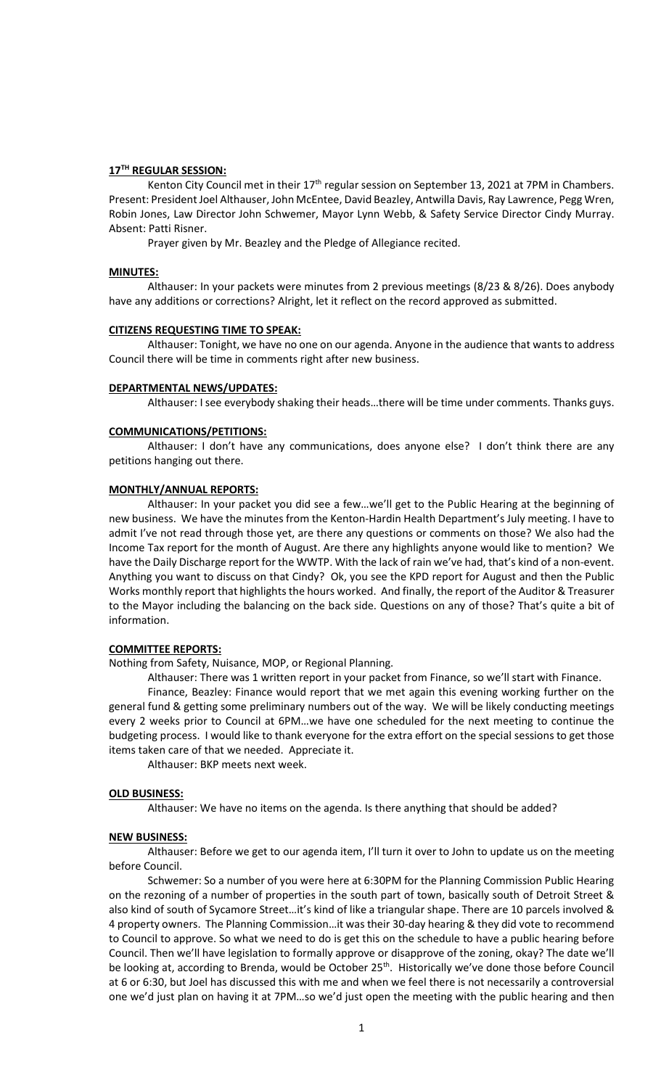# **17TH REGULAR SESSION:**

Kenton City Council met in their 17<sup>th</sup> regular session on September 13, 2021 at 7PM in Chambers. Present: President Joel Althauser, John McEntee, David Beazley, Antwilla Davis, Ray Lawrence, Pegg Wren, Robin Jones, Law Director John Schwemer, Mayor Lynn Webb, & Safety Service Director Cindy Murray. Absent: Patti Risner.

Prayer given by Mr. Beazley and the Pledge of Allegiance recited.

## **MINUTES:**

Althauser: In your packets were minutes from 2 previous meetings (8/23 & 8/26). Does anybody have any additions or corrections? Alright, let it reflect on the record approved as submitted.

#### **CITIZENS REQUESTING TIME TO SPEAK:**

Althauser: Tonight, we have no one on our agenda. Anyone in the audience that wants to address Council there will be time in comments right after new business.

# **DEPARTMENTAL NEWS/UPDATES:**

Althauser: I see everybody shaking their heads…there will be time under comments. Thanks guys.

### **COMMUNICATIONS/PETITIONS:**

Althauser: I don't have any communications, does anyone else? I don't think there are any petitions hanging out there.

#### **MONTHLY/ANNUAL REPORTS:**

Althauser: In your packet you did see a few…we'll get to the Public Hearing at the beginning of new business. We have the minutes from the Kenton-Hardin Health Department's July meeting. I have to admit I've not read through those yet, are there any questions or comments on those? We also had the Income Tax report for the month of August. Are there any highlights anyone would like to mention? We have the Daily Discharge report for the WWTP. With the lack of rain we've had, that's kind of a non-event. Anything you want to discuss on that Cindy? Ok, you see the KPD report for August and then the Public Works monthly report that highlights the hours worked. And finally, the report of the Auditor & Treasurer to the Mayor including the balancing on the back side. Questions on any of those? That's quite a bit of information.

#### **COMMITTEE REPORTS:**

Nothing from Safety, Nuisance, MOP, or Regional Planning.

Althauser: There was 1 written report in your packet from Finance, so we'll start with Finance.

Finance, Beazley: Finance would report that we met again this evening working further on the general fund & getting some preliminary numbers out of the way. We will be likely conducting meetings every 2 weeks prior to Council at 6PM…we have one scheduled for the next meeting to continue the budgeting process. I would like to thank everyone for the extra effort on the special sessions to get those items taken care of that we needed. Appreciate it.

Althauser: BKP meets next week.

## **OLD BUSINESS:**

Althauser: We have no items on the agenda. Is there anything that should be added?

### **NEW BUSINESS:**

Althauser: Before we get to our agenda item, I'll turn it over to John to update us on the meeting before Council.

Schwemer: So a number of you were here at 6:30PM for the Planning Commission Public Hearing on the rezoning of a number of properties in the south part of town, basically south of Detroit Street & also kind of south of Sycamore Street…it's kind of like a triangular shape. There are 10 parcels involved & 4 property owners. The Planning Commission…it was their 30-day hearing & they did vote to recommend to Council to approve. So what we need to do is get this on the schedule to have a public hearing before Council. Then we'll have legislation to formally approve or disapprove of the zoning, okay? The date we'll be looking at, according to Brenda, would be October 25<sup>th</sup>. Historically we've done those before Council at 6 or 6:30, but Joel has discussed this with me and when we feel there is not necessarily a controversial one we'd just plan on having it at 7PM…so we'd just open the meeting with the public hearing and then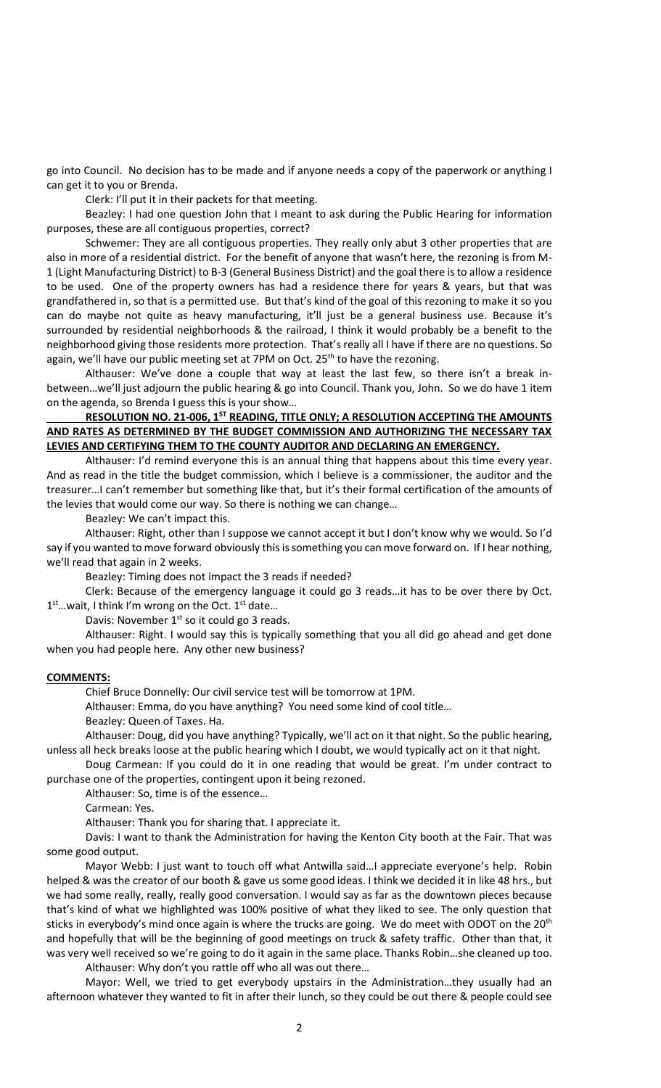go into Council. No decision has to be made and if anyone needs a copy of the paperwork or anything I can get it to you or Brenda.

Clerk: I'll put it in their packets for that meeting.

Beazley: I had one question John that I meant to ask during the Public Hearing for information purposes, these are all contiguous properties, correct?

Schwemer: They are all contiguous properties. They really only abut 3 other properties that are also in more of a residential district. For the benefit of anyone that wasn't here, the rezoning is from M-1 (Light Manufacturing District) to B-3 (General Business District) and the goal there is to allow a residence to be used. One of the property owners has had a residence there for years & years, but that was grandfathered in, so that is a permitted use. But that's kind of the goal of this rezoning to make it so you can do maybe not quite as heavy manufacturing, it'll just be a general business use. Because it's surrounded by residential neighborhoods & the railroad, I think it would probably be a benefit to the neighborhood giving those residents more protection. That's really all I have if there are no questions. So again, we'll have our public meeting set at 7PM on Oct.  $25<sup>th</sup>$  to have the rezoning.

Althauser: We've done a couple that way at least the last few, so there isn't a break inbetween...we'll just adjourn the public hearing & go into Council. Thank you, John. So we do have 1 item on the agenda, so Brenda I guess this is your show…

# **RESOLUTION NO. 21-006, 1ST READING, TITLE ONLY; A RESOLUTION ACCEPTING THE AMOUNTS AND RATES AS DETERMINED BY THE BUDGET COMMISSION AND AUTHORIZING THE NECESSARY TAX LEVIES AND CERTIFYING THEM TO THE COUNTY AUDITOR AND DECLARING AN EMERGENCY.**

Althauser: I'd remind everyone this is an annual thing that happens about this time every year. And as read in the title the budget commission, which I believe is a commissioner, the auditor and the treasurer…I can't remember but something like that, but it's their formal certification of the amounts of the levies that would come our way. So there is nothing we can change…

Beazley: We can't impact this.

Althauser: Right, other than I suppose we cannot accept it but I don't know why we would. So I'd say if you wanted to move forward obviously this is something you can move forward on. If I hear nothing, we'll read that again in 2 weeks.

Beazley: Timing does not impact the 3 reads if needed?

Clerk: Because of the emergency language it could go 3 reads…it has to be over there by Oct. 1<sup>st</sup>... wait, I think I'm wrong on the Oct. 1<sup>st</sup> date...

Davis: November  $1^{st}$  so it could go 3 reads.

Althauser: Right. I would say this is typically something that you all did go ahead and get done when you had people here. Any other new business?

## **COMMENTS:**

Chief Bruce Donnelly: Our civil service test will be tomorrow at 1PM.

Althauser: Emma, do you have anything? You need some kind of cool title…

Beazley: Queen of Taxes. Ha.

Althauser: Doug, did you have anything? Typically, we'll act on it that night. So the public hearing, unless all heck breaks loose at the public hearing which I doubt, we would typically act on it that night.

Doug Carmean: If you could do it in one reading that would be great. I'm under contract to purchase one of the properties, contingent upon it being rezoned.

Althauser: So, time is of the essence…

Carmean: Yes.

Althauser: Thank you for sharing that. I appreciate it.

Davis: I want to thank the Administration for having the Kenton City booth at the Fair. That was some good output.

Mayor Webb: I just want to touch off what Antwilla said…I appreciate everyone's help. Robin helped & was the creator of our booth & gave us some good ideas. I think we decided it in like 48 hrs., but we had some really, really, really good conversation. I would say as far as the downtown pieces because that's kind of what we highlighted was 100% positive of what they liked to see. The only question that sticks in everybody's mind once again is where the trucks are going. We do meet with ODOT on the 20<sup>th</sup> and hopefully that will be the beginning of good meetings on truck & safety traffic. Other than that, it was very well received so we're going to do it again in the same place. Thanks Robin…she cleaned up too. Althauser: Why don't you rattle off who all was out there…

Mayor: Well, we tried to get everybody upstairs in the Administration…they usually had an afternoon whatever they wanted to fit in after their lunch, so they could be out there & people could see